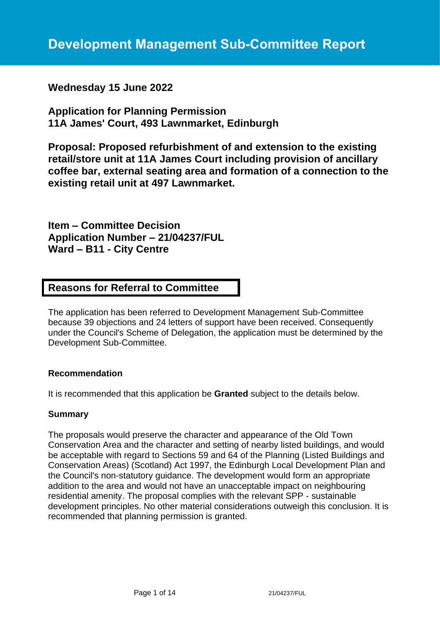# **Wednesday 15 June 2022**

**Application for Planning Permission 11A James' Court, 493 Lawnmarket, Edinburgh**

**Proposal: Proposed refurbishment of and extension to the existing retail/store unit at 11A James Court including provision of ancillary coffee bar, external seating area and formation of a connection to the existing retail unit at 497 Lawnmarket.**

**Item – Committee Decision Application Number – 21/04237/FUL Ward – B11 - City Centre**

# **Reasons for Referral to Committee**

The application has been referred to Development Management Sub-Committee because 39 objections and 24 letters of support have been received. Consequently under the Council's Scheme of Delegation, the application must be determined by the Development Sub-Committee.

#### **Recommendation**

It is recommended that this application be **Granted** subject to the details below.

#### **Summary**

The proposals would preserve the character and appearance of the Old Town Conservation Area and the character and setting of nearby listed buildings, and would be acceptable with regard to Sections 59 and 64 of the Planning (Listed Buildings and Conservation Areas) (Scotland) Act 1997, the Edinburgh Local Development Plan and the Council's non-statutory guidance. The development would form an appropriate addition to the area and would not have an unacceptable impact on neighbouring residential amenity. The proposal complies with the relevant SPP - sustainable development principles. No other material considerations outweigh this conclusion. It is recommended that planning permission is granted.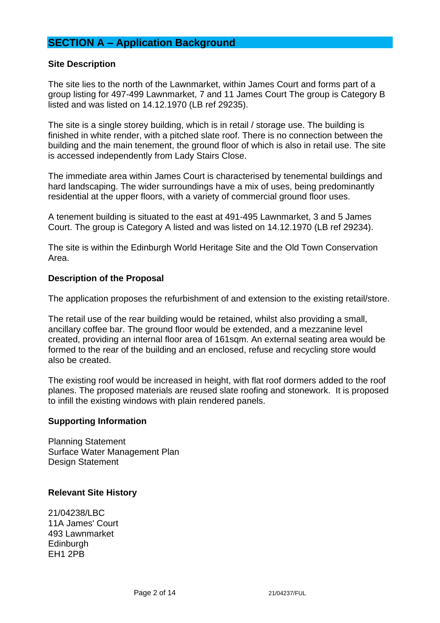# **SECTION A – Application Background**

#### **Site Description**

The site lies to the north of the Lawnmarket, within James Court and forms part of a group listing for 497-499 Lawnmarket, 7 and 11 James Court The group is Category B listed and was listed on 14.12.1970 (LB ref 29235).

The site is a single storey building, which is in retail / storage use. The building is finished in white render, with a pitched slate roof. There is no connection between the building and the main tenement, the ground floor of which is also in retail use. The site is accessed independently from Lady Stairs Close.

The immediate area within James Court is characterised by tenemental buildings and hard landscaping. The wider surroundings have a mix of uses, being predominantly residential at the upper floors, with a variety of commercial ground floor uses.

A tenement building is situated to the east at 491-495 Lawnmarket, 3 and 5 James Court. The group is Category A listed and was listed on 14.12.1970 (LB ref 29234).

The site is within the Edinburgh World Heritage Site and the Old Town Conservation Area.

#### **Description of the Proposal**

The application proposes the refurbishment of and extension to the existing retail/store.

The retail use of the rear building would be retained, whilst also providing a small, ancillary coffee bar. The ground floor would be extended, and a mezzanine level created, providing an internal floor area of 161sqm. An external seating area would be formed to the rear of the building and an enclosed, refuse and recycling store would also be created.

The existing roof would be increased in height, with flat roof dormers added to the roof planes. The proposed materials are reused slate roofing and stonework. It is proposed to infill the existing windows with plain rendered panels.

#### **Supporting Information**

Planning Statement Surface Water Management Plan Design Statement

#### **Relevant Site History**

21/04238/LBC 11A James' Court 493 Lawnmarket Edinburgh EH1 2PB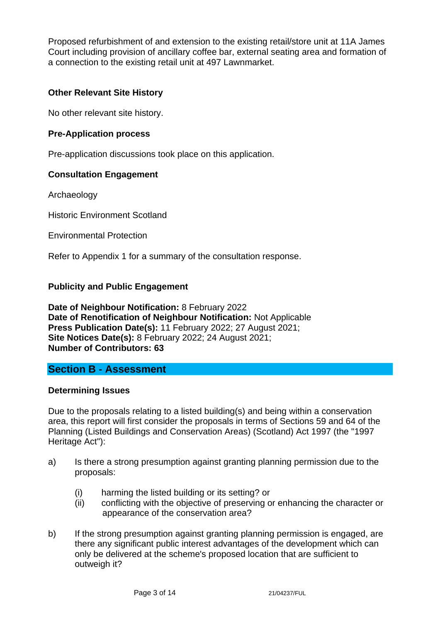Proposed refurbishment of and extension to the existing retail/store unit at 11A James Court including provision of ancillary coffee bar, external seating area and formation of a connection to the existing retail unit at 497 Lawnmarket.

## **Other Relevant Site History**

No other relevant site history.

## **Pre-Application process**

Pre-application discussions took place on this application.

## **Consultation Engagement**

Archaeology

Historic Environment Scotland

Environmental Protection

Refer to Appendix 1 for a summary of the consultation response.

#### **Publicity and Public Engagement**

**Date of Neighbour Notification:** 8 February 2022 **Date of Renotification of Neighbour Notification:** Not Applicable **Press Publication Date(s):** 11 February 2022; 27 August 2021; **Site Notices Date(s):** 8 February 2022; 24 August 2021; **Number of Contributors: 63**

## **Section B - Assessment**

#### **Determining Issues**

Due to the proposals relating to a listed building(s) and being within a conservation area, this report will first consider the proposals in terms of Sections 59 and 64 of the Planning (Listed Buildings and Conservation Areas) (Scotland) Act 1997 (the "1997 Heritage Act"):

- a) Is there a strong presumption against granting planning permission due to the proposals:
	- (i) harming the listed building or its setting? or
	- (ii) conflicting with the objective of preserving or enhancing the character or appearance of the conservation area?
- b) If the strong presumption against granting planning permission is engaged, are there any significant public interest advantages of the development which can only be delivered at the scheme's proposed location that are sufficient to outweigh it?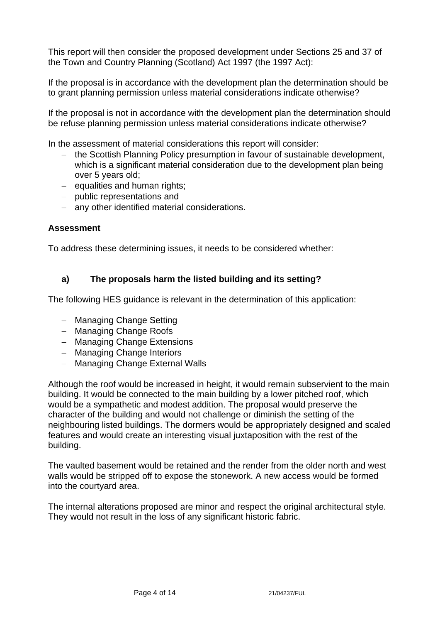This report will then consider the proposed development under Sections 25 and 37 of the Town and Country Planning (Scotland) Act 1997 (the 1997 Act):

If the proposal is in accordance with the development plan the determination should be to grant planning permission unless material considerations indicate otherwise?

If the proposal is not in accordance with the development plan the determination should be refuse planning permission unless material considerations indicate otherwise?

In the assessment of material considerations this report will consider:

- − the Scottish Planning Policy presumption in favour of sustainable development, which is a significant material consideration due to the development plan being over 5 years old;
- − equalities and human rights;
- − public representations and
- − any other identified material considerations.

#### **Assessment**

To address these determining issues, it needs to be considered whether:

#### **a) The proposals harm the listed building and its setting?**

The following HES guidance is relevant in the determination of this application:

- − Managing Change Setting
- − Managing Change Roofs
- − Managing Change Extensions
- − Managing Change Interiors
- − Managing Change External Walls

Although the roof would be increased in height, it would remain subservient to the main building. It would be connected to the main building by a lower pitched roof, which would be a sympathetic and modest addition. The proposal would preserve the character of the building and would not challenge or diminish the setting of the neighbouring listed buildings. The dormers would be appropriately designed and scaled features and would create an interesting visual juxtaposition with the rest of the building.

The vaulted basement would be retained and the render from the older north and west walls would be stripped off to expose the stonework. A new access would be formed into the courtyard area.

The internal alterations proposed are minor and respect the original architectural style. They would not result in the loss of any significant historic fabric.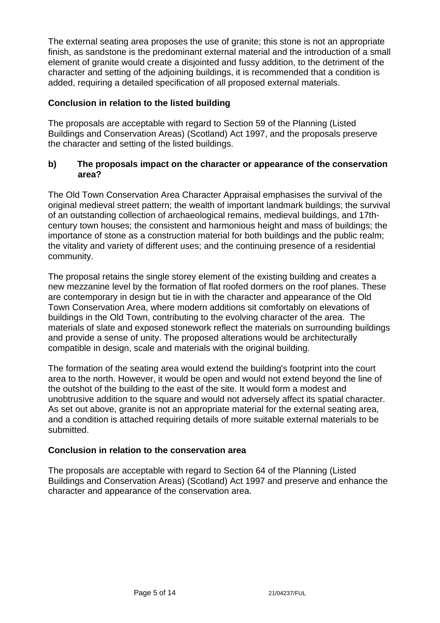The external seating area proposes the use of granite; this stone is not an appropriate finish, as sandstone is the predominant external material and the introduction of a small element of granite would create a disjointed and fussy addition, to the detriment of the character and setting of the adjoining buildings, it is recommended that a condition is added, requiring a detailed specification of all proposed external materials.

## **Conclusion in relation to the listed building**

The proposals are acceptable with regard to Section 59 of the Planning (Listed Buildings and Conservation Areas) (Scotland) Act 1997, and the proposals preserve the character and setting of the listed buildings.

#### **b) The proposals impact on the character or appearance of the conservation area?**

The Old Town Conservation Area Character Appraisal emphasises the survival of the original medieval street pattern; the wealth of important landmark buildings; the survival of an outstanding collection of archaeological remains, medieval buildings, and 17thcentury town houses; the consistent and harmonious height and mass of buildings; the importance of stone as a construction material for both buildings and the public realm; the vitality and variety of different uses; and the continuing presence of a residential community.

The proposal retains the single storey element of the existing building and creates a new mezzanine level by the formation of flat roofed dormers on the roof planes. These are contemporary in design but tie in with the character and appearance of the Old Town Conservation Area, where modern additions sit comfortably on elevations of buildings in the Old Town, contributing to the evolving character of the area. The materials of slate and exposed stonework reflect the materials on surrounding buildings and provide a sense of unity. The proposed alterations would be architecturally compatible in design, scale and materials with the original building.

The formation of the seating area would extend the building's footprint into the court area to the north. However, it would be open and would not extend beyond the line of the outshot of the building to the east of the site. It would form a modest and unobtrusive addition to the square and would not adversely affect its spatial character. As set out above, granite is not an appropriate material for the external seating area, and a condition is attached requiring details of more suitable external materials to be submitted.

## **Conclusion in relation to the conservation area**

The proposals are acceptable with regard to Section 64 of the Planning (Listed Buildings and Conservation Areas) (Scotland) Act 1997 and preserve and enhance the character and appearance of the conservation area.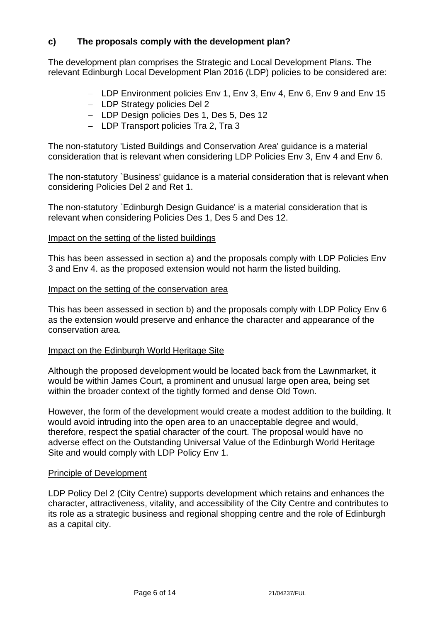## **c) The proposals comply with the development plan?**

The development plan comprises the Strategic and Local Development Plans. The relevant Edinburgh Local Development Plan 2016 (LDP) policies to be considered are:

- − LDP Environment policies Env 1, Env 3, Env 4, Env 6, Env 9 and Env 15
- − LDP Strategy policies Del 2
- − LDP Design policies Des 1, Des 5, Des 12
- − LDP Transport policies Tra 2, Tra 3

The non-statutory 'Listed Buildings and Conservation Area' guidance is a material consideration that is relevant when considering LDP Policies Env 3, Env 4 and Env 6.

The non-statutory `Business' guidance is a material consideration that is relevant when considering Policies Del 2 and Ret 1.

The non-statutory `Edinburgh Design Guidance' is a material consideration that is relevant when considering Policies Des 1, Des 5 and Des 12.

#### Impact on the setting of the listed buildings

This has been assessed in section a) and the proposals comply with LDP Policies Env 3 and Env 4. as the proposed extension would not harm the listed building.

#### Impact on the setting of the conservation area

This has been assessed in section b) and the proposals comply with LDP Policy Env 6 as the extension would preserve and enhance the character and appearance of the conservation area.

#### Impact on the Edinburgh World Heritage Site

Although the proposed development would be located back from the Lawnmarket, it would be within James Court, a prominent and unusual large open area, being set within the broader context of the tightly formed and dense Old Town.

However, the form of the development would create a modest addition to the building. It would avoid intruding into the open area to an unacceptable degree and would, therefore, respect the spatial character of the court. The proposal would have no adverse effect on the Outstanding Universal Value of the Edinburgh World Heritage Site and would comply with LDP Policy Env 1.

#### Principle of Development

LDP Policy Del 2 (City Centre) supports development which retains and enhances the character, attractiveness, vitality, and accessibility of the City Centre and contributes to its role as a strategic business and regional shopping centre and the role of Edinburgh as a capital city.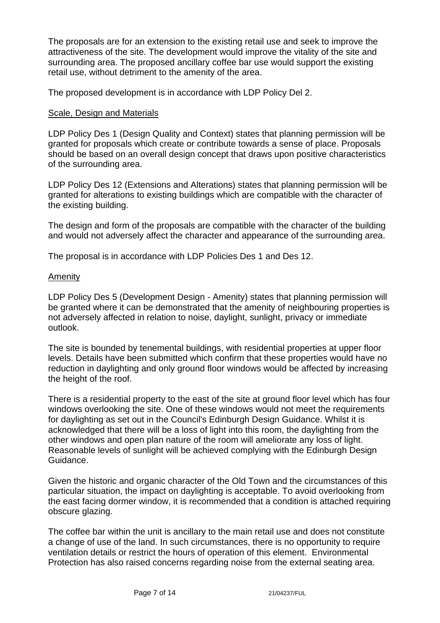The proposals are for an extension to the existing retail use and seek to improve the attractiveness of the site. The development would improve the vitality of the site and surrounding area. The proposed ancillary coffee bar use would support the existing retail use, without detriment to the amenity of the area.

The proposed development is in accordance with LDP Policy Del 2.

## Scale, Design and Materials

LDP Policy Des 1 (Design Quality and Context) states that planning permission will be granted for proposals which create or contribute towards a sense of place. Proposals should be based on an overall design concept that draws upon positive characteristics of the surrounding area.

LDP Policy Des 12 (Extensions and Alterations) states that planning permission will be granted for alterations to existing buildings which are compatible with the character of the existing building.

The design and form of the proposals are compatible with the character of the building and would not adversely affect the character and appearance of the surrounding area.

The proposal is in accordance with LDP Policies Des 1 and Des 12.

#### Amenity

LDP Policy Des 5 (Development Design - Amenity) states that planning permission will be granted where it can be demonstrated that the amenity of neighbouring properties is not adversely affected in relation to noise, daylight, sunlight, privacy or immediate outlook.

The site is bounded by tenemental buildings, with residential properties at upper floor levels. Details have been submitted which confirm that these properties would have no reduction in daylighting and only ground floor windows would be affected by increasing the height of the roof.

There is a residential property to the east of the site at ground floor level which has four windows overlooking the site. One of these windows would not meet the requirements for daylighting as set out in the Council's Edinburgh Design Guidance. Whilst it is acknowledged that there will be a loss of light into this room, the daylighting from the other windows and open plan nature of the room will ameliorate any loss of light. Reasonable levels of sunlight will be achieved complying with the Edinburgh Design Guidance.

Given the historic and organic character of the Old Town and the circumstances of this particular situation, the impact on daylighting is acceptable. To avoid overlooking from the east facing dormer window, it is recommended that a condition is attached requiring obscure glazing.

The coffee bar within the unit is ancillary to the main retail use and does not constitute a change of use of the land. In such circumstances, there is no opportunity to require ventilation details or restrict the hours of operation of this element. Environmental Protection has also raised concerns regarding noise from the external seating area.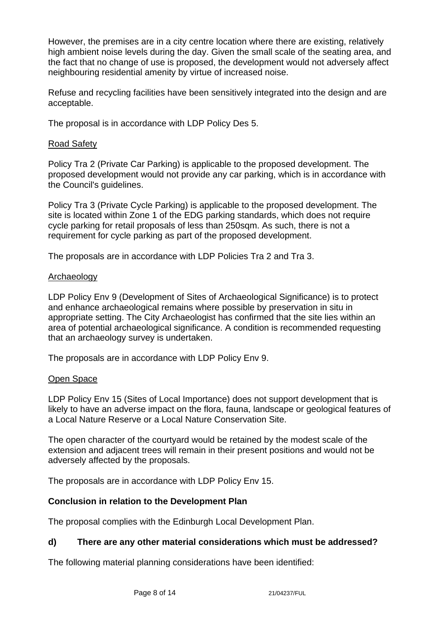However, the premises are in a city centre location where there are existing, relatively high ambient noise levels during the day. Given the small scale of the seating area, and the fact that no change of use is proposed, the development would not adversely affect neighbouring residential amenity by virtue of increased noise.

Refuse and recycling facilities have been sensitively integrated into the design and are acceptable.

The proposal is in accordance with LDP Policy Des 5.

## Road Safety

Policy Tra 2 (Private Car Parking) is applicable to the proposed development. The proposed development would not provide any car parking, which is in accordance with the Council's guidelines.

Policy Tra 3 (Private Cycle Parking) is applicable to the proposed development. The site is located within Zone 1 of the EDG parking standards, which does not require cycle parking for retail proposals of less than 250sqm. As such, there is not a requirement for cycle parking as part of the proposed development.

The proposals are in accordance with LDP Policies Tra 2 and Tra 3.

## Archaeology

LDP Policy Env 9 (Development of Sites of Archaeological Significance) is to protect and enhance archaeological remains where possible by preservation in situ in appropriate setting. The City Archaeologist has confirmed that the site lies within an area of potential archaeological significance. A condition is recommended requesting that an archaeology survey is undertaken.

The proposals are in accordance with LDP Policy Env 9.

## Open Space

LDP Policy Env 15 (Sites of Local Importance) does not support development that is likely to have an adverse impact on the flora, fauna, landscape or geological features of a Local Nature Reserve or a Local Nature Conservation Site.

The open character of the courtyard would be retained by the modest scale of the extension and adjacent trees will remain in their present positions and would not be adversely affected by the proposals.

The proposals are in accordance with LDP Policy Env 15.

## **Conclusion in relation to the Development Plan**

The proposal complies with the Edinburgh Local Development Plan.

## **d) There are any other material considerations which must be addressed?**

The following material planning considerations have been identified: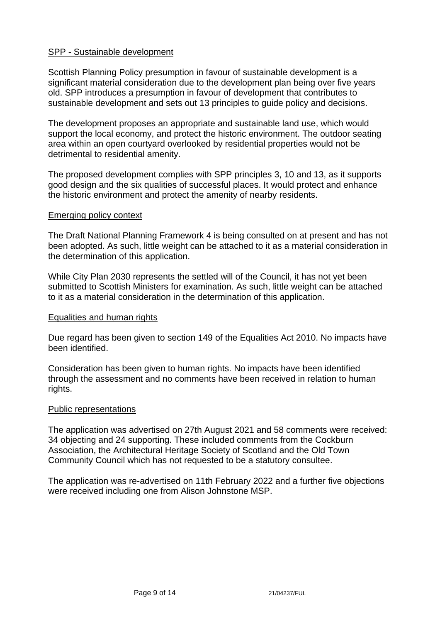#### SPP - Sustainable development

Scottish Planning Policy presumption in favour of sustainable development is a significant material consideration due to the development plan being over five years old. SPP introduces a presumption in favour of development that contributes to sustainable development and sets out 13 principles to guide policy and decisions.

The development proposes an appropriate and sustainable land use, which would support the local economy, and protect the historic environment. The outdoor seating area within an open courtyard overlooked by residential properties would not be detrimental to residential amenity.

The proposed development complies with SPP principles 3, 10 and 13, as it supports good design and the six qualities of successful places. It would protect and enhance the historic environment and protect the amenity of nearby residents.

#### Emerging policy context

The Draft National Planning Framework 4 is being consulted on at present and has not been adopted. As such, little weight can be attached to it as a material consideration in the determination of this application.

While City Plan 2030 represents the settled will of the Council, it has not yet been submitted to Scottish Ministers for examination. As such, little weight can be attached to it as a material consideration in the determination of this application.

#### Equalities and human rights

Due regard has been given to section 149 of the Equalities Act 2010. No impacts have been identified.

Consideration has been given to human rights. No impacts have been identified through the assessment and no comments have been received in relation to human rights.

#### Public representations

The application was advertised on 27th August 2021 and 58 comments were received: 34 objecting and 24 supporting. These included comments from the Cockburn Association, the Architectural Heritage Society of Scotland and the Old Town Community Council which has not requested to be a statutory consultee.

The application was re-advertised on 11th February 2022 and a further five objections were received including one from Alison Johnstone MSP.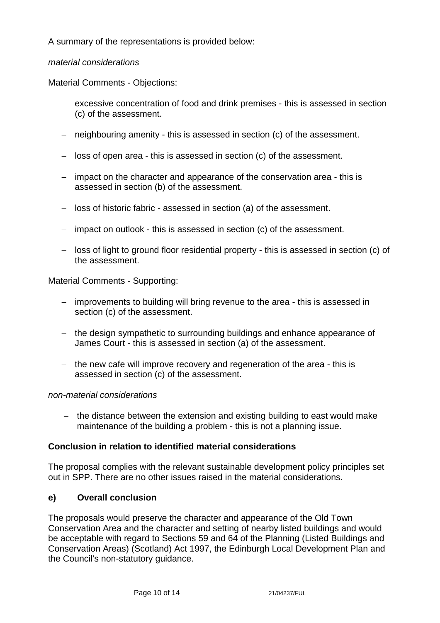A summary of the representations is provided below:

## *material considerations*

Material Comments - Objections:

- − excessive concentration of food and drink premises this is assessed in section (c) of the assessment.
- − neighbouring amenity this is assessed in section (c) of the assessment.
- − loss of open area this is assessed in section (c) of the assessment.
- − impact on the character and appearance of the conservation area this is assessed in section (b) of the assessment.
- − loss of historic fabric assessed in section (a) of the assessment.
- − impact on outlook this is assessed in section (c) of the assessment.
- − loss of light to ground floor residential property this is assessed in section (c) of the assessment.

Material Comments - Supporting:

- − improvements to building will bring revenue to the area this is assessed in section (c) of the assessment.
- − the design sympathetic to surrounding buildings and enhance appearance of James Court - this is assessed in section (a) of the assessment.
- − the new cafe will improve recovery and regeneration of the area this is assessed in section (c) of the assessment.

#### *non-material considerations*

− the distance between the extension and existing building to east would make maintenance of the building a problem - this is not a planning issue.

#### **Conclusion in relation to identified material considerations**

The proposal complies with the relevant sustainable development policy principles set out in SPP. There are no other issues raised in the material considerations.

#### **e) Overall conclusion**

The proposals would preserve the character and appearance of the Old Town Conservation Area and the character and setting of nearby listed buildings and would be acceptable with regard to Sections 59 and 64 of the Planning (Listed Buildings and Conservation Areas) (Scotland) Act 1997, the Edinburgh Local Development Plan and the Council's non-statutory guidance.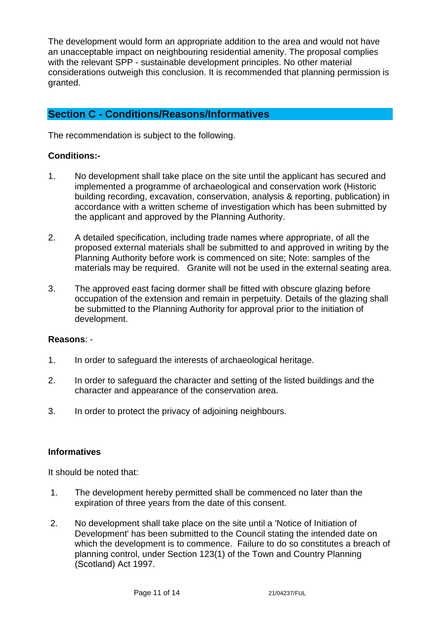The development would form an appropriate addition to the area and would not have an unacceptable impact on neighbouring residential amenity. The proposal complies with the relevant SPP - sustainable development principles. No other material considerations outweigh this conclusion. It is recommended that planning permission is granted.

# **Section C - Conditions/Reasons/Informatives**

The recommendation is subject to the following.

#### **Conditions:-**

- 1. No development shall take place on the site until the applicant has secured and implemented a programme of archaeological and conservation work (Historic building recording, excavation, conservation, analysis & reporting, publication) in accordance with a written scheme of investigation which has been submitted by the applicant and approved by the Planning Authority.
- 2. A detailed specification, including trade names where appropriate, of all the proposed external materials shall be submitted to and approved in writing by the Planning Authority before work is commenced on site; Note: samples of the materials may be required. Granite will not be used in the external seating area.
- 3. The approved east facing dormer shall be fitted with obscure glazing before occupation of the extension and remain in perpetuity. Details of the glazing shall be submitted to the Planning Authority for approval prior to the initiation of development.

#### **Reasons**: -

- 1. In order to safeguard the interests of archaeological heritage.
- 2. In order to safeguard the character and setting of the listed buildings and the character and appearance of the conservation area.
- 3. In order to protect the privacy of adjoining neighbours.

#### **Informatives**

It should be noted that:

- 1. The development hereby permitted shall be commenced no later than the expiration of three years from the date of this consent.
- 2. No development shall take place on the site until a 'Notice of Initiation of Development' has been submitted to the Council stating the intended date on which the development is to commence. Failure to do so constitutes a breach of planning control, under Section 123(1) of the Town and Country Planning (Scotland) Act 1997.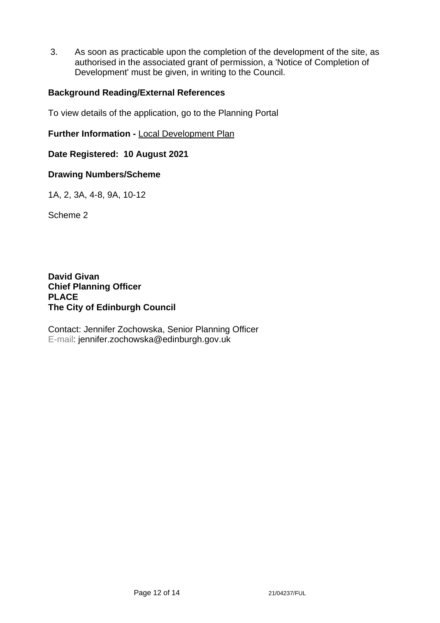3. As soon as practicable upon the completion of the development of the site, as authorised in the associated grant of permission, a 'Notice of Completion of Development' must be given, in writing to the Council.

#### **Background Reading/External References**

To view details of the application, go to the Planning Portal

**Further Information -** [Local Development Plan](https://www.edinburgh.gov.uk/local-development-plan-guidance-1/edinburgh-local-development-plan/1)

#### **Date Registered: 10 August 2021**

#### **Drawing Numbers/Scheme**

1A, 2, 3A, 4-8, 9A, 10-12

Scheme 2

**David Givan Chief Planning Officer PLACE The City of Edinburgh Council**

Contact: Jennifer Zochowska, Senior Planning Officer E-mail: jennifer.zochowska@edinburgh.gov.uk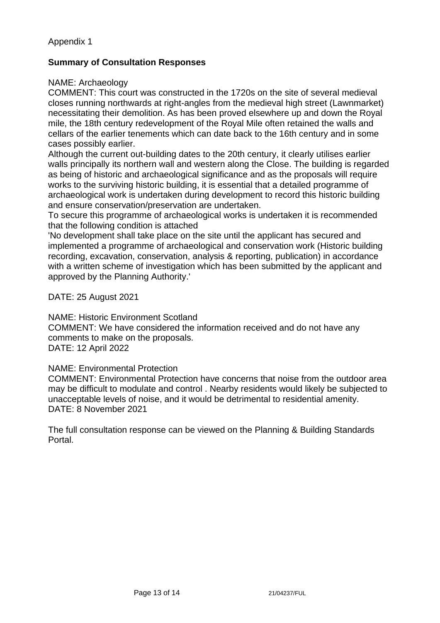## Appendix 1

## **Summary of Consultation Responses**

#### NAME: Archaeology

COMMENT: This court was constructed in the 1720s on the site of several medieval closes running northwards at right-angles from the medieval high street (Lawnmarket) necessitating their demolition. As has been proved elsewhere up and down the Royal mile, the 18th century redevelopment of the Royal Mile often retained the walls and cellars of the earlier tenements which can date back to the 16th century and in some cases possibly earlier.

Although the current out-building dates to the 20th century, it clearly utilises earlier walls principally its northern wall and western along the Close. The building is regarded as being of historic and archaeological significance and as the proposals will require works to the surviving historic building, it is essential that a detailed programme of archaeological work is undertaken during development to record this historic building and ensure conservation/preservation are undertaken.

To secure this programme of archaeological works is undertaken it is recommended that the following condition is attached

'No development shall take place on the site until the applicant has secured and implemented a programme of archaeological and conservation work (Historic building recording, excavation, conservation, analysis & reporting, publication) in accordance with a written scheme of investigation which has been submitted by the applicant and approved by the Planning Authority.'

DATE: 25 August 2021

NAME: Historic Environment Scotland

COMMENT: We have considered the information received and do not have any comments to make on the proposals. DATE: 12 April 2022

#### NAME: Environmental Protection

COMMENT: Environmental Protection have concerns that noise from the outdoor area may be difficult to modulate and control . Nearby residents would likely be subjected to unacceptable levels of noise, and it would be detrimental to residential amenity. DATE: 8 November 2021

The full consultation response can be viewed on the Planning & Building Standards Portal.